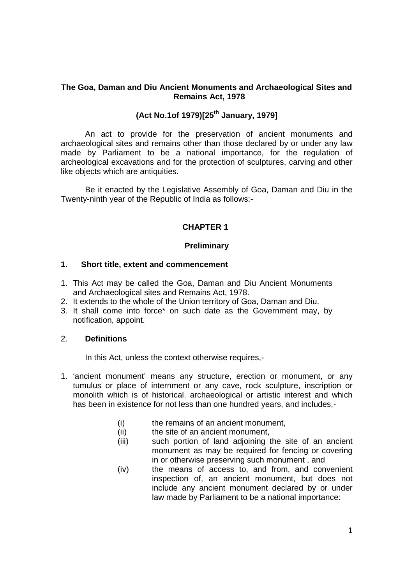## **The Goa, Daman and Diu Ancient Monuments and Archaeological Sites and Remains Act, 1978**

# **(Act No.1of 1979)[25th January, 1979]**

An act to provide for the preservation of ancient monuments and archaeological sites and remains other than those declared by or under any law made by Parliament to be a national importance, for the regulation of archeological excavations and for the protection of sculptures, carving and other like objects which are antiquities.

Be it enacted by the Legislative Assembly of Goa, Daman and Diu in the Twenty-ninth year of the Republic of India as follows:-

# **CHAPTER 1**

# **Preliminary**

#### **1. Short title, extent and commencement**

- 1. This Act may be called the Goa, Daman and Diu Ancient Monuments and Archaeological sites and Remains Act, 1978.
- 2. It extends to the whole of the Union territory of Goa, Daman and Diu.
- 3. It shall come into force\* on such date as the Government may, by notification, appoint.

## 2. **Definitions**

In this Act, unless the context otherwise requires,-

- 1. 'ancient monument' means any structure, erection or monument, or any tumulus or place of internment or any cave, rock sculpture, inscription or monolith which is of historical. archaeological or artistic interest and which has been in existence for not less than one hundred years, and includes,-
	- (i) the remains of an ancient monument,
	- (ii) the site of an ancient monument,
	- (iii) such portion of land adjoining the site of an ancient monument as may be required for fencing or covering in or otherwise preserving such monument , and
	- (iv) the means of access to, and from, and convenient inspection of, an ancient monument, but does not include any ancient monument declared by or under law made by Parliament to be a national importance: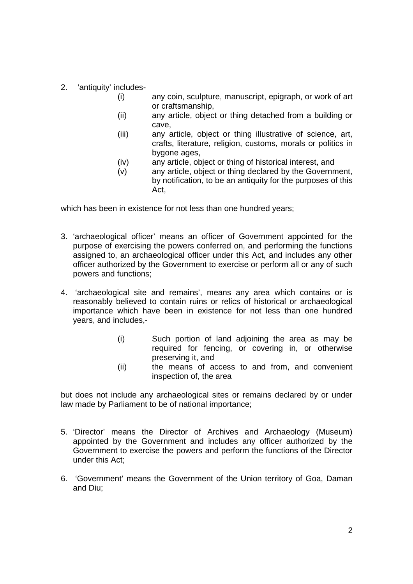- 2. 'antiquity' includes-
	- (i) any coin, sculpture, manuscript, epigraph, or work of art or craftsmanship,
	- (ii) any article, object or thing detached from a building or cave,
	- (iii) any article, object or thing illustrative of science, art, crafts, literature, religion, customs, morals or politics in bygone ages,
	- (iv) any article, object or thing of historical interest, and
	- (v) any article, object or thing declared by the Government, by notification, to be an antiquity for the purposes of this Act,

which has been in existence for not less than one hundred years;

- 3. 'archaeological officer' means an officer of Government appointed for the purpose of exercising the powers conferred on, and performing the functions assigned to, an archaeological officer under this Act, and includes any other officer authorized by the Government to exercise or perform all or any of such powers and functions;
- 4. 'archaeological site and remains', means any area which contains or is reasonably believed to contain ruins or relics of historical or archaeological importance which have been in existence for not less than one hundred years, and includes,-
	- (i) Such portion of land adjoining the area as may be required for fencing, or covering in, or otherwise preserving it, and
	- (ii) the means of access to and from, and convenient inspection of, the area

but does not include any archaeological sites or remains declared by or under law made by Parliament to be of national importance;

- 5. 'Director' means the Director of Archives and Archaeology (Museum) appointed by the Government and includes any officer authorized by the Government to exercise the powers and perform the functions of the Director under this Act;
- 6. 'Government' means the Government of the Union territory of Goa, Daman and Diu;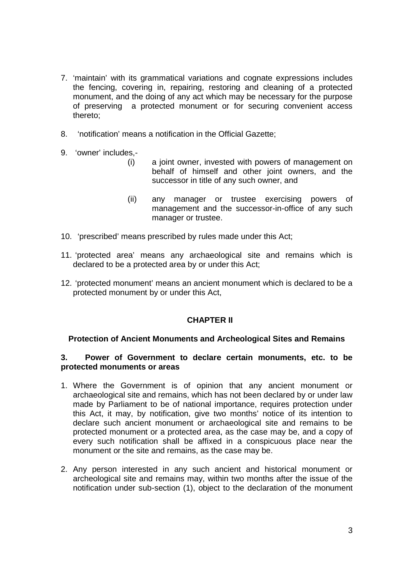- 7. 'maintain' with its grammatical variations and cognate expressions includes the fencing, covering in, repairing, restoring and cleaning of a protected monument, and the doing of any act which may be necessary for the purpose of preserving a protected monument or for securing convenient access thereto;
- 8. 'notification' means a notification in the Official Gazette;
- 9. 'owner' includes,-
	- (i) a joint owner, invested with powers of management on behalf of himself and other joint owners, and the successor in title of any such owner, and
	- (ii) any manager or trustee exercising powers of management and the successor-in-office of any such manager or trustee.
- 10. 'prescribed' means prescribed by rules made under this Act;
- 11. 'protected area' means any archaeological site and remains which is declared to be a protected area by or under this Act;
- 12. 'protected monument' means an ancient monument which is declared to be a protected monument by or under this Act,

# **CHAPTER II**

# **Protection of Ancient Monuments and Archeological Sites and Remains**

#### **3. Power of Government to declare certain monuments, etc. to be protected monuments or areas**

- 1. Where the Government is of opinion that any ancient monument or archaeological site and remains, which has not been declared by or under law made by Parliament to be of national importance, requires protection under this Act, it may, by notification, give two months' notice of its intention to declare such ancient monument or archaeological site and remains to be protected monument or a protected area, as the case may be, and a copy of every such notification shall be affixed in a conspicuous place near the monument or the site and remains, as the case may be.
- 2. Any person interested in any such ancient and historical monument or archeological site and remains may, within two months after the issue of the notification under sub-section (1), object to the declaration of the monument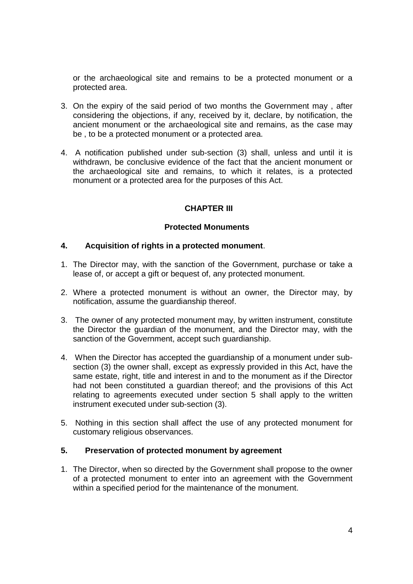or the archaeological site and remains to be a protected monument or a protected area.

- 3. On the expiry of the said period of two months the Government may , after considering the objections, if any, received by it, declare, by notification, the ancient monument or the archaeological site and remains, as the case may be , to be a protected monument or a protected area.
- 4. A notification published under sub-section (3) shall, unless and until it is withdrawn, be conclusive evidence of the fact that the ancient monument or the archaeological site and remains, to which it relates, is a protected monument or a protected area for the purposes of this Act.

# **CHAPTER III**

## **Protected Monuments**

## **4. Acquisition of rights in a protected monument**.

- 1. The Director may, with the sanction of the Government, purchase or take a lease of, or accept a gift or bequest of, any protected monument.
- 2. Where a protected monument is without an owner, the Director may, by notification, assume the guardianship thereof.
- 3. The owner of any protected monument may, by written instrument, constitute the Director the guardian of the monument, and the Director may, with the sanction of the Government, accept such guardianship.
- 4. When the Director has accepted the guardianship of a monument under subsection (3) the owner shall, except as expressly provided in this Act, have the same estate, right, title and interest in and to the monument as if the Director had not been constituted a guardian thereof; and the provisions of this Act relating to agreements executed under section 5 shall apply to the written instrument executed under sub-section (3).
- 5. Nothing in this section shall affect the use of any protected monument for customary religious observances.

#### **5. Preservation of protected monument by agreement**

1. The Director, when so directed by the Government shall propose to the owner of a protected monument to enter into an agreement with the Government within a specified period for the maintenance of the monument.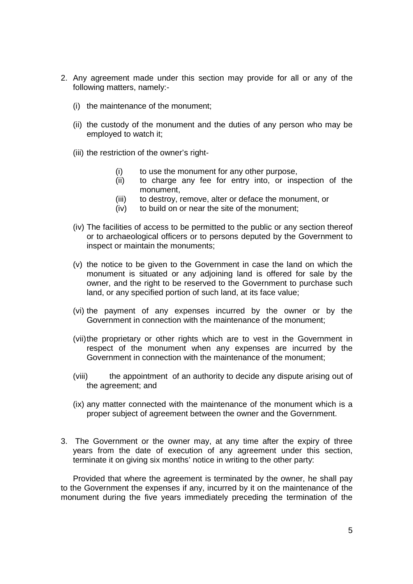- 2. Any agreement made under this section may provide for all or any of the following matters, namely:-
	- (i) the maintenance of the monument;
	- (ii) the custody of the monument and the duties of any person who may be employed to watch it;
	- (iii) the restriction of the owner's right-
		- (i) to use the monument for any other purpose,
		- (ii) to charge any fee for entry into, or inspection of the monument,
		- (iii) to destroy, remove, alter or deface the monument, or
		- (iv) to build on or near the site of the monument;
	- (iv) The facilities of access to be permitted to the public or any section thereof or to archaeological officers or to persons deputed by the Government to inspect or maintain the monuments;
	- (v) the notice to be given to the Government in case the land on which the monument is situated or any adjoining land is offered for sale by the owner, and the right to be reserved to the Government to purchase such land, or any specified portion of such land, at its face value;
	- (vi) the payment of any expenses incurred by the owner or by the Government in connection with the maintenance of the monument;
	- (vii)the proprietary or other rights which are to vest in the Government in respect of the monument when any expenses are incurred by the Government in connection with the maintenance of the monument;
	- (viii) the appointment of an authority to decide any dispute arising out of the agreement; and
	- (ix) any matter connected with the maintenance of the monument which is a proper subject of agreement between the owner and the Government.
- 3. The Government or the owner may, at any time after the expiry of three years from the date of execution of any agreement under this section, terminate it on giving six months' notice in writing to the other party:

Provided that where the agreement is terminated by the owner, he shall pay to the Government the expenses if any, incurred by it on the maintenance of the monument during the five years immediately preceding the termination of the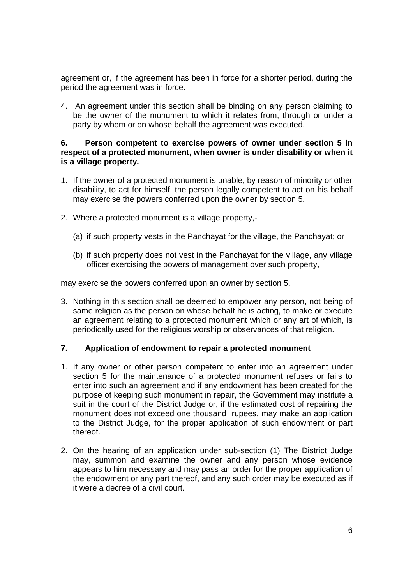agreement or, if the agreement has been in force for a shorter period, during the period the agreement was in force.

4. An agreement under this section shall be binding on any person claiming to be the owner of the monument to which it relates from, through or under a party by whom or on whose behalf the agreement was executed.

## **6. Person competent to exercise powers of owner under section 5 in respect of a protected monument, when owner is under disability or when it is a village property.**

- 1. If the owner of a protected monument is unable, by reason of minority or other disability, to act for himself, the person legally competent to act on his behalf may exercise the powers conferred upon the owner by section 5.
- 2. Where a protected monument is a village property,-
	- (a) if such property vests in the Panchayat for the village, the Panchayat; or
	- (b) if such property does not vest in the Panchayat for the village, any village officer exercising the powers of management over such property,

may exercise the powers conferred upon an owner by section 5.

3. Nothing in this section shall be deemed to empower any person, not being of same religion as the person on whose behalf he is acting, to make or execute an agreement relating to a protected monument which or any art of which, is periodically used for the religious worship or observances of that religion.

# **7. Application of endowment to repair a protected monument**

- 1. If any owner or other person competent to enter into an agreement under section 5 for the maintenance of a protected monument refuses or fails to enter into such an agreement and if any endowment has been created for the purpose of keeping such monument in repair, the Government may institute a suit in the court of the District Judge or, if the estimated cost of repairing the monument does not exceed one thousand rupees, may make an application to the District Judge, for the proper application of such endowment or part thereof.
- 2. On the hearing of an application under sub-section (1) The District Judge may, summon and examine the owner and any person whose evidence appears to him necessary and may pass an order for the proper application of the endowment or any part thereof, and any such order may be executed as if it were a decree of a civil court.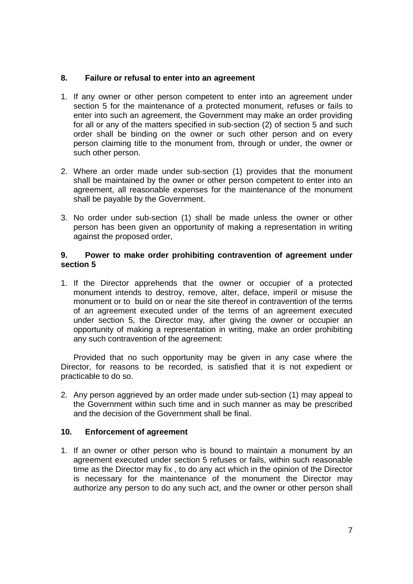## **8. Failure or refusal to enter into an agreement**

- 1. If any owner or other person competent to enter into an agreement under section 5 for the maintenance of a protected monument, refuses or fails to enter into such an agreement, the Government may make an order providing for all or any of the matters specified in sub-section (2) of section 5 and such order shall be binding on the owner or such other person and on every person claiming title to the monument from, through or under, the owner or such other person.
- 2. Where an order made under sub-section (1) provides that the monument shall be maintained by the owner or other person competent to enter into an agreement, all reasonable expenses for the maintenance of the monument shall be payable by the Government.
- 3. No order under sub-section (1) shall be made unless the owner or other person has been given an opportunity of making a representation in writing against the proposed order,

#### **9. Power to make order prohibiting contravention of agreement under section 5**

1. If the Director apprehends that the owner or occupier of a protected monument intends to destroy, remove, alter, deface, imperil or misuse the monument or to build on or near the site thereof in contravention of the terms of an agreement executed under of the terms of an agreement executed under section 5, the Director may, after giving the owner or occupier an opportunity of making a representation in writing, make an order prohibiting any such contravention of the agreement:

Provided that no such opportunity may be given in any case where the Director, for reasons to be recorded, is satisfied that it is not expedient or practicable to do so.

2. Any person aggrieved by an order made under sub-section (1) may appeal to the Government within such time and in such manner as may be prescribed and the decision of the Government shall be final.

#### **10. Enforcement of agreement**

1. If an owner or other person who is bound to maintain a monument by an agreement executed under section 5 refuses or fails, within such reasonable time as the Director may fix , to do any act which in the opinion of the Director is necessary for the maintenance of the monument the Director may authorize any person to do any such act, and the owner or other person shall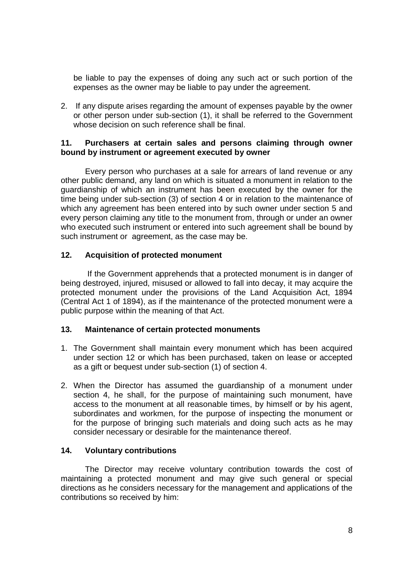be liable to pay the expenses of doing any such act or such portion of the expenses as the owner may be liable to pay under the agreement.

2. If any dispute arises regarding the amount of expenses payable by the owner or other person under sub-section (1), it shall be referred to the Government whose decision on such reference shall be final.

#### **11. Purchasers at certain sales and persons claiming through owner bound by instrument or agreement executed by owner**

Every person who purchases at a sale for arrears of land revenue or any other public demand, any land on which is situated a monument in relation to the guardianship of which an instrument has been executed by the owner for the time being under sub-section (3) of section 4 or in relation to the maintenance of which any agreement has been entered into by such owner under section 5 and every person claiming any title to the monument from, through or under an owner who executed such instrument or entered into such agreement shall be bound by such instrument or agreement, as the case may be.

## **12. Acquisition of protected monument**

If the Government apprehends that a protected monument is in danger of being destroyed, injured, misused or allowed to fall into decay, it may acquire the protected monument under the provisions of the Land Acquisition Act, 1894 (Central Act 1 of 1894), as if the maintenance of the protected monument were a public purpose within the meaning of that Act.

#### **13. Maintenance of certain protected monuments**

- 1. The Government shall maintain every monument which has been acquired under section 12 or which has been purchased, taken on lease or accepted as a gift or bequest under sub-section (1) of section 4.
- 2. When the Director has assumed the guardianship of a monument under section 4, he shall, for the purpose of maintaining such monument, have access to the monument at all reasonable times, by himself or by his agent, subordinates and workmen, for the purpose of inspecting the monument or for the purpose of bringing such materials and doing such acts as he may consider necessary or desirable for the maintenance thereof.

#### **14. Voluntary contributions**

The Director may receive voluntary contribution towards the cost of maintaining a protected monument and may give such general or special directions as he considers necessary for the management and applications of the contributions so received by him: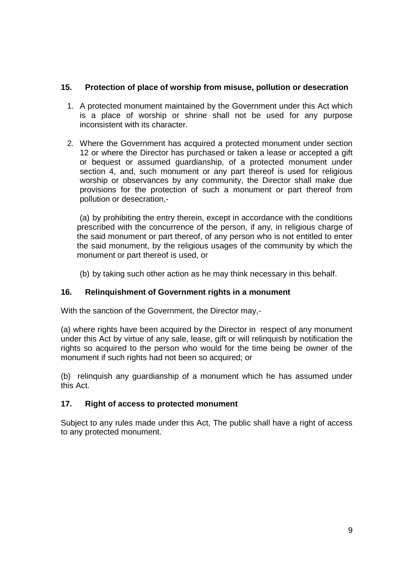# **15. Protection of place of worship from misuse, pollution or desecration**

- 1. A protected monument maintained by the Government under this Act which is a place of worship or shrine shall not be used for any purpose inconsistent with its character.
- 2. Where the Government has acquired a protected monument under section 12 or where the Director has purchased or taken a lease or accepted a gift or bequest or assumed guardianship, of a protected monument under section 4, and, such monument or any part thereof is used for religious worship or observances by any community, the Director shall make due provisions for the protection of such a monument or part thereof from pollution or desecration,-

(a) by prohibiting the entry therein, except in accordance with the conditions prescribed with the concurrence of the person, if any, in religious charge of the said monument or part thereof, of any person who is not entitled to enter the said monument, by the religious usages of the community by which the monument or part thereof is used, or

(b) by taking such other action as he may think necessary in this behalf.

# **16. Relinquishment of Government rights in a monument**

With the sanction of the Government, the Director may,-

(a) where rights have been acquired by the Director in respect of any monument under this Act by virtue of any sale, lease, gift or will relinquish by notification the rights so acquired to the person who would for the time being be owner of the monument if such rights had not been so acquired; or

(b) relinquish any guardianship of a monument which he has assumed under this Act.

# **17. Right of access to protected monument**

Subject to any rules made under this Act, The public shall have a right of access to any protected monument.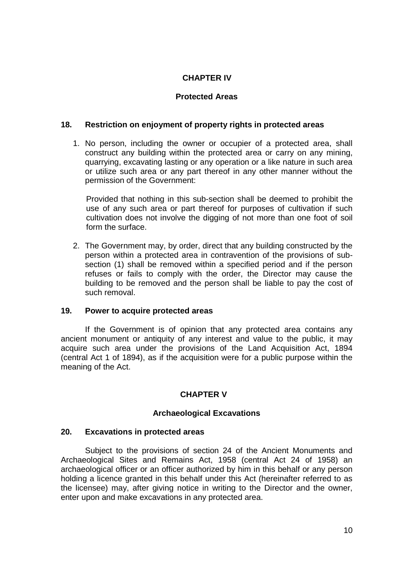# **CHAPTER IV**

# **Protected Areas**

## **18. Restriction on enjoyment of property rights in protected areas**

1. No person, including the owner or occupier of a protected area, shall construct any building within the protected area or carry on any mining, quarrying, excavating lasting or any operation or a like nature in such area or utilize such area or any part thereof in any other manner without the permission of the Government:

Provided that nothing in this sub-section shall be deemed to prohibit the use of any such area or part thereof for purposes of cultivation if such cultivation does not involve the digging of not more than one foot of soil form the surface.

2. The Government may, by order, direct that any building constructed by the person within a protected area in contravention of the provisions of subsection (1) shall be removed within a specified period and if the person refuses or fails to comply with the order, the Director may cause the building to be removed and the person shall be liable to pay the cost of such removal.

#### **19. Power to acquire protected areas**

If the Government is of opinion that any protected area contains any ancient monument or antiquity of any interest and value to the public, it may acquire such area under the provisions of the Land Acquisition Act, 1894 (central Act 1 of 1894), as if the acquisition were for a public purpose within the meaning of the Act.

# **CHAPTER V**

#### **Archaeological Excavations**

#### **20. Excavations in protected areas**

Subject to the provisions of section 24 of the Ancient Monuments and Archaeological Sites and Remains Act, 1958 (central Act 24 of 1958) an archaeological officer or an officer authorized by him in this behalf or any person holding a licence granted in this behalf under this Act (hereinafter referred to as the licensee) may, after giving notice in writing to the Director and the owner, enter upon and make excavations in any protected area.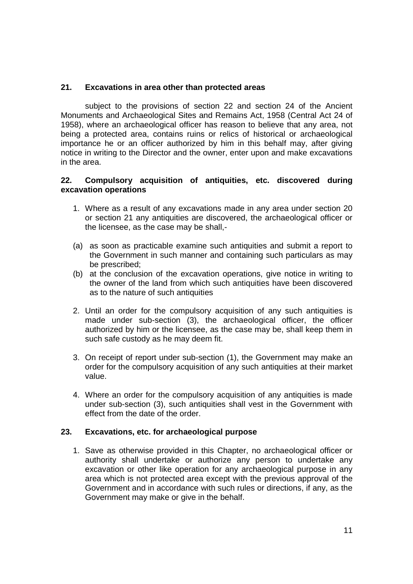# **21. Excavations in area other than protected areas**

subject to the provisions of section 22 and section 24 of the Ancient Monuments and Archaeological Sites and Remains Act, 1958 (Central Act 24 of 1958), where an archaeological officer has reason to believe that any area, not being a protected area, contains ruins or relics of historical or archaeological importance he or an officer authorized by him in this behalf may, after giving notice in writing to the Director and the owner, enter upon and make excavations in the area.

## **22. Compulsory acquisition of antiquities, etc. discovered during excavation operations**

- 1. Where as a result of any excavations made in any area under section 20 or section 21 any antiquities are discovered, the archaeological officer or the licensee, as the case may be shall,-
- (a) as soon as practicable examine such antiquities and submit a report to the Government in such manner and containing such particulars as may be prescribed;
- (b) at the conclusion of the excavation operations, give notice in writing to the owner of the land from which such antiquities have been discovered as to the nature of such antiquities
- 2. Until an order for the compulsory acquisition of any such antiquities is made under sub-section (3), the archaeological officer, the officer authorized by him or the licensee, as the case may be, shall keep them in such safe custody as he may deem fit.
- 3. On receipt of report under sub-section (1), the Government may make an order for the compulsory acquisition of any such antiquities at their market value.
- 4. Where an order for the compulsory acquisition of any antiquities is made under sub-section (3), such antiquities shall vest in the Government with effect from the date of the order.

# **23. Excavations, etc. for archaeological purpose**

1. Save as otherwise provided in this Chapter, no archaeological officer or authority shall undertake or authorize any person to undertake any excavation or other like operation for any archaeological purpose in any area which is not protected area except with the previous approval of the Government and in accordance with such rules or directions, if any, as the Government may make or give in the behalf.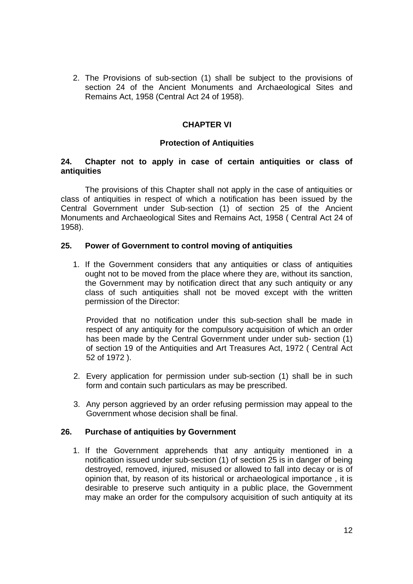2. The Provisions of sub-section (1) shall be subject to the provisions of section 24 of the Ancient Monuments and Archaeological Sites and Remains Act, 1958 (Central Act 24 of 1958).

# **CHAPTER VI**

## **Protection of Antiquities**

## **24. Chapter not to apply in case of certain antiquities or class of antiquities**

The provisions of this Chapter shall not apply in the case of antiquities or class of antiquities in respect of which a notification has been issued by the Central Government under Sub-section (1) of section 25 of the Ancient Monuments and Archaeological Sites and Remains Act, 1958 ( Central Act 24 of 1958).

#### **25. Power of Government to control moving of antiquities**

1. If the Government considers that any antiquities or class of antiquities ought not to be moved from the place where they are, without its sanction, the Government may by notification direct that any such antiquity or any class of such antiquities shall not be moved except with the written permission of the Director:

Provided that no notification under this sub-section shall be made in respect of any antiquity for the compulsory acquisition of which an order has been made by the Central Government under under sub- section (1) of section 19 of the Antiquities and Art Treasures Act, 1972 ( Central Act 52 of 1972 ).

- 2. Every application for permission under sub-section (1) shall be in such form and contain such particulars as may be prescribed.
- 3. Any person aggrieved by an order refusing permission may appeal to the Government whose decision shall be final.

# **26. Purchase of antiquities by Government**

1. If the Government apprehends that any antiquity mentioned in a notification issued under sub-section (1) of section 25 is in danger of being destroyed, removed, injured, misused or allowed to fall into decay or is of opinion that, by reason of its historical or archaeological importance , it is desirable to preserve such antiquity in a public place, the Government may make an order for the compulsory acquisition of such antiquity at its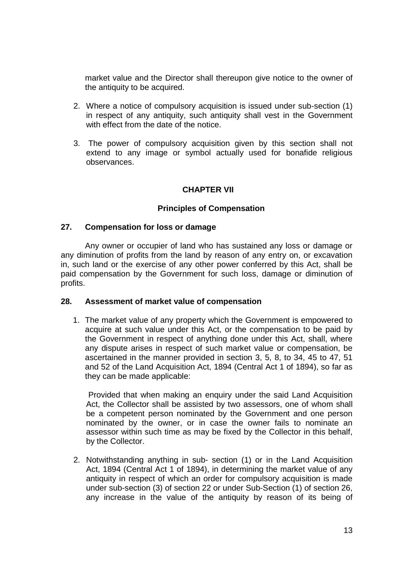market value and the Director shall thereupon give notice to the owner of the antiquity to be acquired.

- 2. Where a notice of compulsory acquisition is issued under sub-section (1) in respect of any antiquity, such antiquity shall vest in the Government with effect from the date of the notice.
- 3. The power of compulsory acquisition given by this section shall not extend to any image or symbol actually used for bonafide religious observances.

## **CHAPTER VII**

#### **Principles of Compensation**

#### **27. Compensation for loss or damage**

Any owner or occupier of land who has sustained any loss or damage or any diminution of profits from the land by reason of any entry on, or excavation in, such land or the exercise of any other power conferred by this Act, shall be paid compensation by the Government for such loss, damage or diminution of profits.

#### **28. Assessment of market value of compensation**

1. The market value of any property which the Government is empowered to acquire at such value under this Act, or the compensation to be paid by the Government in respect of anything done under this Act, shall, where any dispute arises in respect of such market value or compensation, be ascertained in the manner provided in section 3, 5, 8, to 34, 45 to 47, 51 and 52 of the Land Acquisition Act, 1894 (Central Act 1 of 1894), so far as they can be made applicable:

Provided that when making an enquiry under the said Land Acquisition Act, the Collector shall be assisted by two assessors, one of whom shall be a competent person nominated by the Government and one person nominated by the owner, or in case the owner fails to nominate an assessor within such time as may be fixed by the Collector in this behalf, by the Collector.

2. Notwithstanding anything in sub- section (1) or in the Land Acquisition Act, 1894 (Central Act 1 of 1894), in determining the market value of any antiquity in respect of which an order for compulsory acquisition is made under sub-section (3) of section 22 or under Sub-Section (1) of section 26, any increase in the value of the antiquity by reason of its being of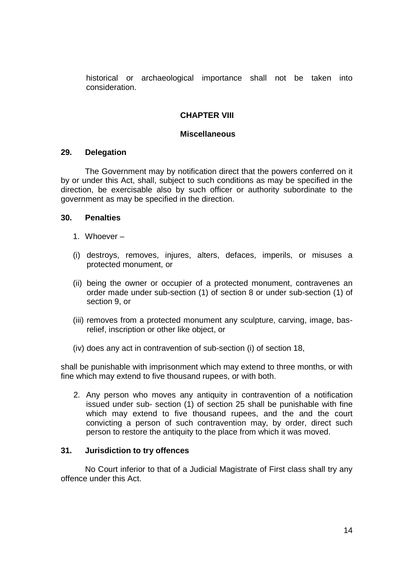historical or archaeological importance shall not be taken into consideration.

## **CHAPTER VIII**

#### **Miscellaneous**

#### **29. Delegation**

The Government may by notification direct that the powers conferred on it by or under this Act, shall, subject to such conditions as may be specified in the direction, be exercisable also by such officer or authority subordinate to the government as may be specified in the direction.

#### **30. Penalties**

- 1. Whoever –
- (i) destroys, removes, injures, alters, defaces, imperils, or misuses a protected monument, or
- (ii) being the owner or occupier of a protected monument, contravenes an order made under sub-section (1) of section 8 or under sub-section (1) of section 9, or
- (iii) removes from a protected monument any sculpture, carving, image, basrelief, inscription or other like object, or
- (iv) does any act in contravention of sub-section (i) of section 18,

shall be punishable with imprisonment which may extend to three months, or with fine which may extend to five thousand rupees, or with both.

2. Any person who moves any antiquity in contravention of a notification issued under sub- section (1) of section 25 shall be punishable with fine which may extend to five thousand rupees, and the and the court convicting a person of such contravention may, by order, direct such person to restore the antiquity to the place from which it was moved.

#### **31. Jurisdiction to try offences**

No Court inferior to that of a Judicial Magistrate of First class shall try any offence under this Act.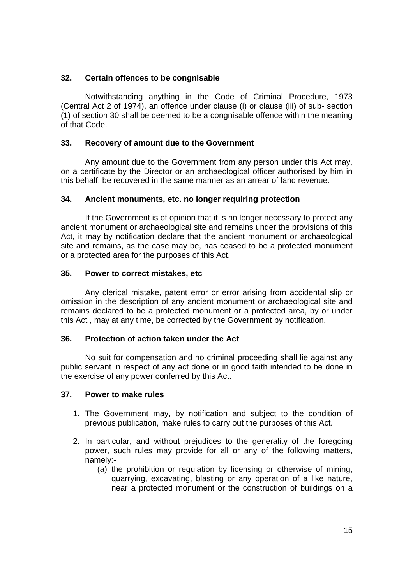# **32. Certain offences to be congnisable**

Notwithstanding anything in the Code of Criminal Procedure, 1973 (Central Act 2 of 1974), an offence under clause (i) or clause (iii) of sub- section (1) of section 30 shall be deemed to be a congnisable offence within the meaning of that Code.

## **33. Recovery of amount due to the Government**

Any amount due to the Government from any person under this Act may, on a certificate by the Director or an archaeological officer authorised by him in this behalf, be recovered in the same manner as an arrear of land revenue.

## **34. Ancient monuments, etc. no longer requiring protection**

If the Government is of opinion that it is no longer necessary to protect any ancient monument or archaeological site and remains under the provisions of this Act, it may by notification declare that the ancient monument or archaeological site and remains, as the case may be, has ceased to be a protected monument or a protected area for the purposes of this Act.

## **35. Power to correct mistakes, etc**

Any clerical mistake, patent error or error arising from accidental slip or omission in the description of any ancient monument or archaeological site and remains declared to be a protected monument or a protected area, by or under this Act , may at any time, be corrected by the Government by notification.

#### **36. Protection of action taken under the Act**

No suit for compensation and no criminal proceeding shall lie against any public servant in respect of any act done or in good faith intended to be done in the exercise of any power conferred by this Act.

#### **37. Power to make rules**

- 1. The Government may, by notification and subject to the condition of previous publication, make rules to carry out the purposes of this Act.
- 2. In particular, and without prejudices to the generality of the foregoing power, such rules may provide for all or any of the following matters, namely:-
	- (a) the prohibition or regulation by licensing or otherwise of mining, quarrying, excavating, blasting or any operation of a like nature, near a protected monument or the construction of buildings on a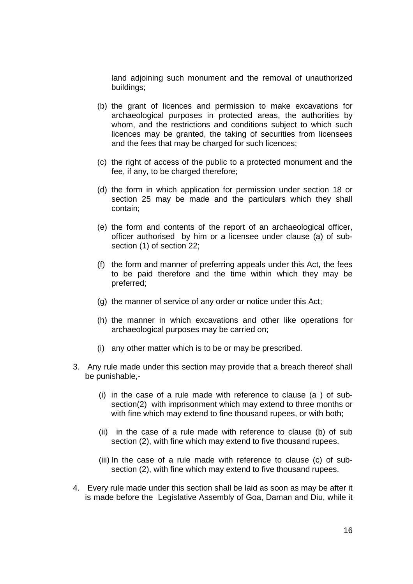land adjoining such monument and the removal of unauthorized buildings;

- (b) the grant of licences and permission to make excavations for archaeological purposes in protected areas, the authorities by whom, and the restrictions and conditions subject to which such licences may be granted, the taking of securities from licensees and the fees that may be charged for such licences;
- (c) the right of access of the public to a protected monument and the fee, if any, to be charged therefore;
- (d) the form in which application for permission under section 18 or section 25 may be made and the particulars which they shall contain;
- (e) the form and contents of the report of an archaeological officer, officer authorised by him or a licensee under clause (a) of subsection (1) of section 22;
- (f) the form and manner of preferring appeals under this Act, the fees to be paid therefore and the time within which they may be preferred;
- (g) the manner of service of any order or notice under this Act;
- (h) the manner in which excavations and other like operations for archaeological purposes may be carried on;
- (i) any other matter which is to be or may be prescribed.
- 3. Any rule made under this section may provide that a breach thereof shall be punishable,-
	- (i) in the case of a rule made with reference to clause (a ) of subsection(2) with imprisonment which may extend to three months or with fine which may extend to fine thousand rupees, or with both;
	- (ii) in the case of a rule made with reference to clause (b) of sub section (2), with fine which may extend to five thousand rupees.
	- (iii) In the case of a rule made with reference to clause (c) of subsection (2), with fine which may extend to five thousand rupees.
- 4. Every rule made under this section shall be laid as soon as may be after it is made before the Legislative Assembly of Goa, Daman and Diu, while it